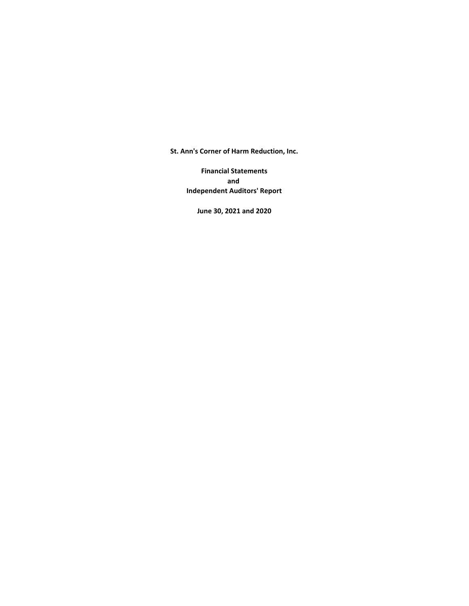**St. Ann's Corner of Harm Reduction, Inc.**

**Financial Statements and Independent Auditors' Report**

**June 30, 2021 and 2020**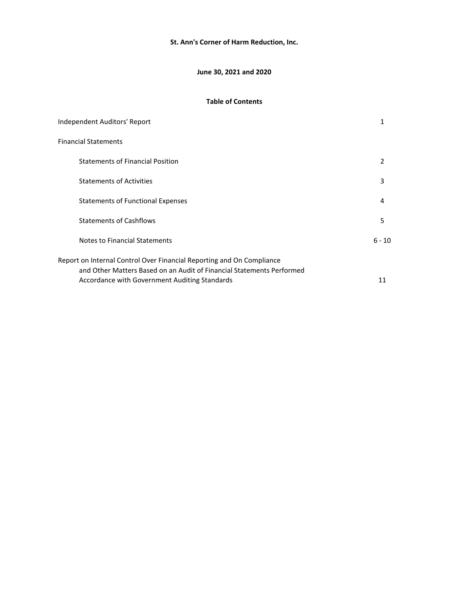## **St. Ann's Corner of Harm Reduction, Inc.**

## **June 30, 2021 and 2020**

## **Table of Contents**

| Independent Auditors' Report                                                                                                                   | 1      |
|------------------------------------------------------------------------------------------------------------------------------------------------|--------|
| Financial Statements                                                                                                                           |        |
| <b>Statements of Financial Position</b>                                                                                                        | 2      |
| <b>Statements of Activities</b>                                                                                                                | 3      |
| <b>Statements of Functional Expenses</b>                                                                                                       | 4      |
| <b>Statements of Cashflows</b>                                                                                                                 | 5      |
| Notes to Financial Statements                                                                                                                  | 6 - 10 |
| Report on Internal Control Over Financial Reporting and On Compliance<br>and Other Matters Based on an Audit of Financial Statements Performed |        |
| Accordance with Government Auditing Standards                                                                                                  | 11     |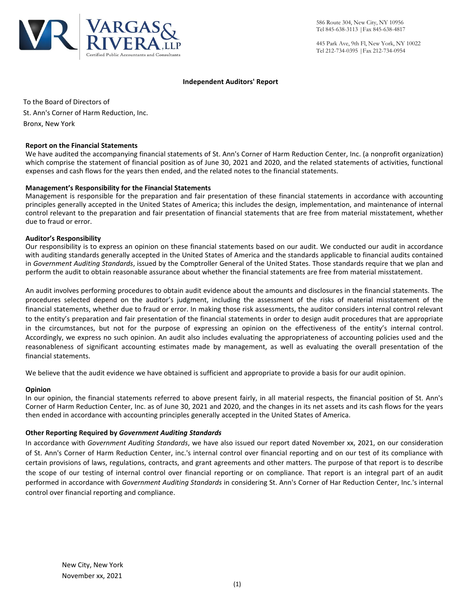

445 Park Ave, 9th Fl, New York, NY 10022 Tel 212-734-0395 |Fax 212-734-0954

#### **Independent Auditors' Report**

To the Board of Directors of St. Ann's Corner of Harm Reduction, Inc. Bronx, New York

#### **Report on the Financial Statements**

We have audited the accompanying financial statements of St. Ann's Corner of Harm Reduction Center, Inc. (a nonprofit organization) which comprise the statement of financial position as of June 30, 2021 and 2020, and the related statements of activities, functional expenses and cash flows for the years then ended, and the related notes to the financial statements.

## **Management's Responsibility for the Financial Statements**

Management is responsible for the preparation and fair presentation of these financial statements in accordance with accounting principles generally accepted in the United States of America; this includes the design, implementation, and maintenance of internal control relevant to the preparation and fair presentation of financial statements that are free from material misstatement, whether due to fraud or error.

#### **Auditor's Responsibility**

Our responsibility is to express an opinion on these financial statements based on our audit. We conducted our audit in accordance with auditing standards generally accepted in the United States of America and the standards applicable to financial audits contained in *Government Auditing Standards*, issued by the Comptroller General of the United States. Those standards require that we plan and perform the audit to obtain reasonable assurance about whether the financial statements are free from material misstatement.

An audit involves performing procedures to obtain audit evidence about the amounts and disclosures in the financial statements. The procedures selected depend on the auditor's judgment, including the assessment of the risks of material misstatement of the financial statements, whether due to fraud or error. In making those risk assessments, the auditor considers internal control relevant to the entity's preparation and fair presentation of the financial statements in order to design audit procedures that are appropriate in the circumstances, but not for the purpose of expressing an opinion on the effectiveness of the entity's internal control. Accordingly, we express no such opinion. An audit also includes evaluating the appropriateness of accounting policies used and the reasonableness of significant accounting estimates made by management, as well as evaluating the overall presentation of the financial statements.

We believe that the audit evidence we have obtained is sufficient and appropriate to provide a basis for our audit opinion.

#### **Opinion**

In our opinion, the financial statements referred to above present fairly, in all material respects, the financial position of St. Ann's Corner of Harm Reduction Center, Inc. as of June 30, 2021 and 2020, and the changes in its net assets and its cash flows for the years then ended in accordance with accounting principles generally accepted in the United States of America.

## **Other Reporting Required by** *Government Auditing Standards*

In accordance with *Government Auditing Standards*, we have also issued our report dated November xx, 2021, on our consideration of St. Ann's Corner of Harm Reduction Center, inc.'s internal control over financial reporting and on our test of its compliance with certain provisions of laws, regulations, contracts, and grant agreements and other matters. The purpose of that report is to describe the scope of our testing of internal control over financial reporting or on compliance. That report is an integral part of an audit performed in accordance with *Government Auditing Standards* in considering St. Ann's Corner of Har Reduction Center, Inc.'s internal control over financial reporting and compliance.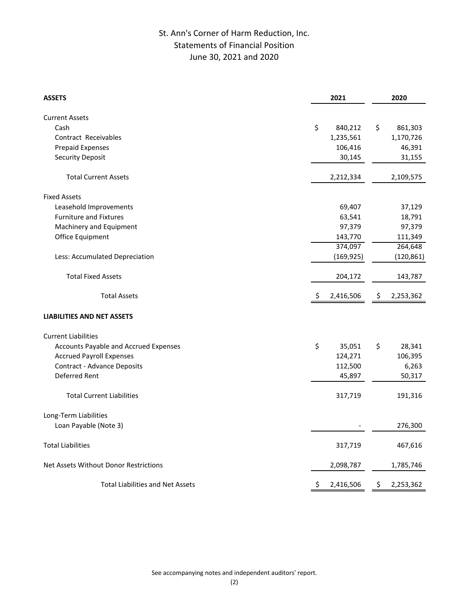# St. Ann's Corner of Harm Reduction, Inc. Statements of Financial Position June 30, 2021 and 2020

| <b>ASSETS</b>                           |     | 2021       |    | 2020                 |
|-----------------------------------------|-----|------------|----|----------------------|
|                                         |     |            |    |                      |
| <b>Current Assets</b><br>Cash           | \$  |            | \$ |                      |
| Contract Receivables                    |     | 840,212    |    | 861,303<br>1,170,726 |
|                                         |     | 1,235,561  |    |                      |
| Prepaid Expenses                        |     | 106,416    |    | 46,391               |
| Security Deposit                        |     | 30,145     |    | 31,155               |
| <b>Total Current Assets</b>             |     | 2,212,334  |    | 2,109,575            |
| <b>Fixed Assets</b>                     |     |            |    |                      |
| Leasehold Improvements                  |     | 69,407     |    | 37,129               |
| <b>Furniture and Fixtures</b>           |     | 63,541     |    | 18,791               |
| Machinery and Equipment                 |     | 97,379     |    | 97,379               |
| Office Equipment                        |     | 143,770    |    | 111,349              |
|                                         |     | 374,097    |    | 264,648              |
| Less: Accumulated Depreciation          |     | (169, 925) |    | (120, 861)           |
| <b>Total Fixed Assets</b>               |     | 204,172    |    | 143,787              |
| <b>Total Assets</b>                     | \$  | 2,416,506  | \$ | 2,253,362            |
| <b>LIABILITIES AND NET ASSETS</b>       |     |            |    |                      |
| <b>Current Liabilities</b>              |     |            |    |                      |
| Accounts Payable and Accrued Expenses   | \$  | 35,051     | \$ | 28,341               |
| <b>Accrued Payroll Expenses</b>         |     | 124,271    |    | 106,395              |
| <b>Contract - Advance Deposits</b>      |     | 112,500    |    | 6,263                |
| Deferred Rent                           |     | 45,897     |    | 50,317               |
| <b>Total Current Liabilities</b>        |     | 317,719    |    | 191,316              |
| Long-Term Liabilities                   |     |            |    |                      |
| Loan Payable (Note 3)                   |     |            |    | 276,300              |
| <b>Total Liabilities</b>                |     | 317,719    |    | 467,616              |
| Net Assets Without Donor Restrictions   |     | 2,098,787  |    | 1,785,746            |
| <b>Total Liabilities and Net Assets</b> | \$. | 2,416,506  | Ş  | 2,253,362            |

See accompanying notes and independent auditors' report.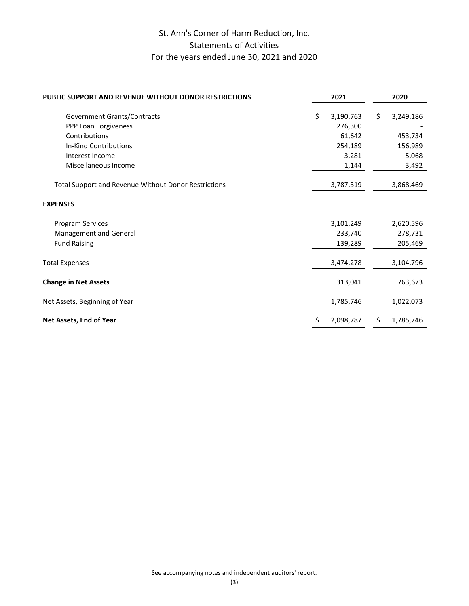# St. Ann's Corner of Harm Reduction, Inc. Statements of Activities For the years ended June 30, 2021 and 2020

| <b>PUBLIC SUPPORT AND REVENUE WITHOUT DONOR RESTRICTIONS</b>                                                                             | 2021                                                              | 2020                                                    |
|------------------------------------------------------------------------------------------------------------------------------------------|-------------------------------------------------------------------|---------------------------------------------------------|
| Government Grants/Contracts<br>PPP Loan Forgiveness<br>Contributions<br>In-Kind Contributions<br>Interest Income<br>Miscellaneous Income | \$<br>3,190,763<br>276,300<br>61,642<br>254,189<br>3,281<br>1,144 | \$<br>3,249,186<br>453,734<br>156,989<br>5,068<br>3,492 |
| <b>Total Support and Revenue Without Donor Restrictions</b>                                                                              | 3,787,319                                                         | 3,868,469                                               |
| <b>EXPENSES</b>                                                                                                                          |                                                                   |                                                         |
| Program Services<br>Management and General<br><b>Fund Raising</b>                                                                        | 3,101,249<br>233,740<br>139,289                                   | 2,620,596<br>278,731<br>205,469                         |
| <b>Total Expenses</b>                                                                                                                    | 3,474,278                                                         | 3,104,796                                               |
| <b>Change in Net Assets</b>                                                                                                              | 313,041                                                           | 763,673                                                 |
| Net Assets, Beginning of Year                                                                                                            | 1,785,746                                                         | 1,022,073                                               |
| Net Assets, End of Year                                                                                                                  | 2,098,787                                                         | 1,785,746                                               |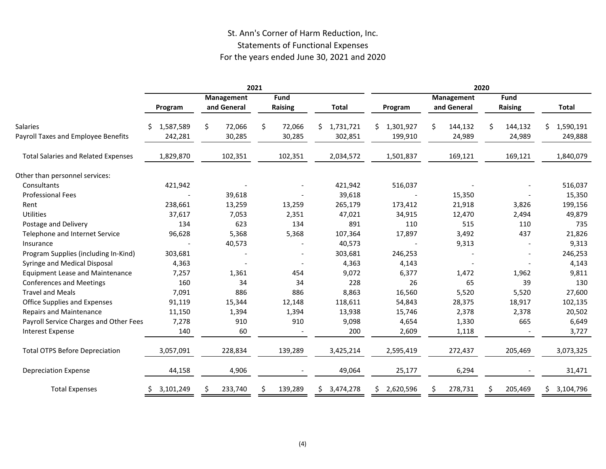# St. Ann's Corner of Harm Reduction, Inc. Statements of Functional Expenses For the years ended June 30, 2021 and 2020

|                                                        | 2021                      |                           |                               | 2020                        |                        |                           |                         |                            |
|--------------------------------------------------------|---------------------------|---------------------------|-------------------------------|-----------------------------|------------------------|---------------------------|-------------------------|----------------------------|
|                                                        | Program                   | Management<br>and General | <b>Fund</b><br><b>Raising</b> | <b>Total</b>                | Program                | Management<br>and General | Fund<br><b>Raising</b>  | <b>Total</b>               |
| <b>Salaries</b><br>Payroll Taxes and Employee Benefits | 1,587,589<br>S<br>242,281 | \$<br>72,066<br>30,285    | \$<br>72,066<br>30,285        | 1,731,721<br>\$.<br>302,851 | \$1,301,927<br>199,910 | 144,132<br>Ś<br>24,989    | \$<br>144,132<br>24,989 | 1,590,191<br>S.<br>249,888 |
| <b>Total Salaries and Related Expenses</b>             | 1,829,870                 | 102,351                   | 102,351                       | 2,034,572                   | 1,501,837              | 169,121                   | 169,121                 | 1,840,079                  |
| Other than personnel services:                         |                           |                           |                               |                             |                        |                           |                         |                            |
| Consultants                                            | 421,942                   |                           |                               | 421,942                     | 516,037                |                           |                         | 516,037                    |
| <b>Professional Fees</b>                               |                           | 39,618                    |                               | 39,618                      |                        | 15,350                    |                         | 15,350                     |
| Rent                                                   | 238,661                   | 13,259                    | 13,259                        | 265,179                     | 173,412                | 21,918                    | 3,826                   | 199,156                    |
| Utilities                                              | 37,617                    | 7,053                     | 2,351                         | 47,021                      | 34,915                 | 12,470                    | 2,494                   | 49,879                     |
| Postage and Delivery                                   | 134                       | 623                       | 134                           | 891                         | 110                    | 515                       | 110                     | 735                        |
| Telephone and Internet Service                         | 96,628                    | 5,368                     | 5,368                         | 107,364                     | 17,897                 | 3,492                     | 437                     | 21,826                     |
| Insurance                                              |                           | 40,573                    |                               | 40,573                      |                        | 9,313                     |                         | 9,313                      |
| Program Supplies (including In-Kind)                   | 303,681                   |                           |                               | 303,681                     | 246,253                |                           |                         | 246,253                    |
| Syringe and Medical Disposal                           | 4,363                     |                           |                               | 4,363                       | 4,143                  |                           |                         | 4,143                      |
| <b>Equipment Lease and Maintenance</b>                 | 7,257                     | 1,361                     | 454                           | 9,072                       | 6,377                  | 1,472                     | 1,962                   | 9,811                      |
| <b>Conferences and Meetings</b>                        | 160                       | 34                        | 34                            | 228                         | 26                     | 65                        | 39                      | 130                        |
| <b>Travel and Meals</b>                                | 7,091                     | 886                       | 886                           | 8,863                       | 16,560                 | 5,520                     | 5,520                   | 27,600                     |
| Office Supplies and Expenses                           | 91,119                    | 15,344                    | 12,148                        | 118,611                     | 54,843                 | 28,375                    | 18,917                  | 102,135                    |
| <b>Repairs and Maintenance</b>                         | 11,150                    | 1,394                     | 1,394                         | 13,938                      | 15,746                 | 2,378                     | 2,378                   | 20,502                     |
| Payroll Service Charges and Other Fees                 | 7,278                     | 910                       | 910                           | 9,098                       | 4,654                  | 1,330                     | 665                     | 6,649                      |
| <b>Interest Expense</b>                                | 140                       | 60                        |                               | 200                         | 2,609                  | 1,118                     |                         | 3,727                      |
| <b>Total OTPS Before Depreciation</b>                  | 3,057,091                 | 228,834                   | 139,289                       | 3,425,214                   | 2,595,419              | 272,437                   | 205,469                 | 3,073,325                  |
| <b>Depreciation Expense</b>                            | 44,158                    | 4,906                     |                               | 49,064                      | 25,177                 | 6,294                     |                         | 31,471                     |
| <b>Total Expenses</b>                                  | 3,101,249                 | 233,740                   | 139,289                       | 3,474,278<br>S.             | 2,620,596<br>S.        | 278,731                   | 205,469                 | 3,104,796<br>S.            |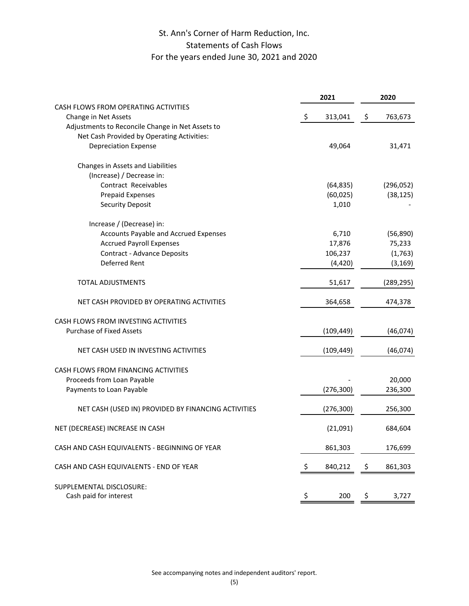# St. Ann's Corner of Harm Reduction, Inc. Statements of Cash Flows For the years ended June 30, 2021 and 2020

|                                                     | 2021          |    | 2020       |  |
|-----------------------------------------------------|---------------|----|------------|--|
| CASH FLOWS FROM OPERATING ACTIVITIES                |               |    |            |  |
| Change in Net Assets                                | \$<br>313,041 | \$ | 763,673    |  |
| Adjustments to Reconcile Change in Net Assets to    |               |    |            |  |
| Net Cash Provided by Operating Activities:          |               |    |            |  |
| <b>Depreciation Expense</b>                         | 49,064        |    | 31,471     |  |
| Changes in Assets and Liabilities                   |               |    |            |  |
| (Increase) / Decrease in:                           |               |    |            |  |
| Contract Receivables                                | (64, 835)     |    | (296, 052) |  |
| <b>Prepaid Expenses</b>                             | (60, 025)     |    | (38, 125)  |  |
| <b>Security Deposit</b>                             | 1,010         |    |            |  |
| Increase / (Decrease) in:                           |               |    |            |  |
| Accounts Payable and Accrued Expenses               | 6,710         |    | (56, 890)  |  |
| <b>Accrued Payroll Expenses</b>                     | 17,876        |    | 75,233     |  |
| Contract - Advance Deposits                         | 106,237       |    | (1,763)    |  |
| Deferred Rent                                       | (4, 420)      |    | (3, 169)   |  |
| <b>TOTAL ADJUSTMENTS</b>                            | 51,617        |    | (289, 295) |  |
| NET CASH PROVIDED BY OPERATING ACTIVITIES           | 364,658       |    | 474,378    |  |
| CASH FLOWS FROM INVESTING ACTIVITIES                |               |    |            |  |
| <b>Purchase of Fixed Assets</b>                     | (109, 449)    |    | (46, 074)  |  |
|                                                     |               |    |            |  |
| NET CASH USED IN INVESTING ACTIVITIES               | (109, 449)    |    | (46, 074)  |  |
| CASH FLOWS FROM FINANCING ACTIVITIES                |               |    |            |  |
| Proceeds from Loan Payable                          |               |    | 20,000     |  |
| Payments to Loan Payable                            | (276, 300)    |    | 236,300    |  |
| NET CASH (USED IN) PROVIDED BY FINANCING ACTIVITIES | (276, 300)    |    | 256,300    |  |
| NET (DECREASE) INCREASE IN CASH                     | (21,091)      |    | 684,604    |  |
| CASH AND CASH EQUIVALENTS - BEGINNING OF YEAR       | 861,303       |    | 176,699    |  |
| CASH AND CASH EQUIVALENTS - END OF YEAR             | \$<br>840,212 | \$ | 861,303    |  |
| SUPPLEMENTAL DISCLOSURE:                            |               |    |            |  |
| Cash paid for interest                              | \$<br>200     | \$ | 3,727      |  |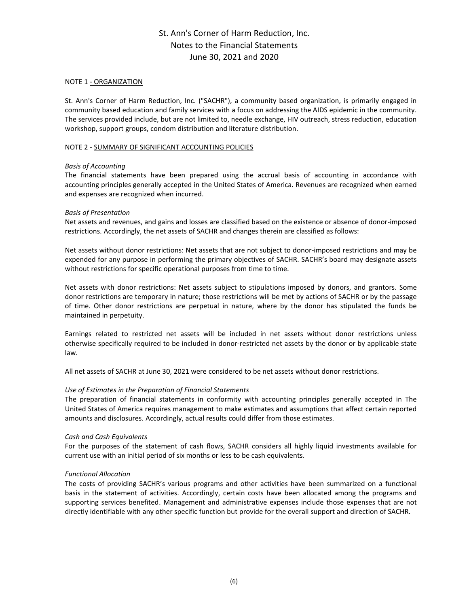## NOTE 1 - ORGANIZATION

St. Ann's Corner of Harm Reduction, Inc. ("SACHR"), a community based organization, is primarily engaged in community based education and family services with a focus on addressing the AIDS epidemic in the community. The services provided include, but are not limited to, needle exchange, HIV outreach, stress reduction, education workshop, support groups, condom distribution and literature distribution.

## NOTE 2 - SUMMARY OF SIGNIFICANT ACCOUNTING POLICIES

## *Basis of Accounting*

The financial statements have been prepared using the accrual basis of accounting in accordance with accounting principles generally accepted in the United States of America. Revenues are recognized when earned and expenses are recognized when incurred.

## *Basis of Presentation*

Net assets and revenues, and gains and losses are classified based on the existence or absence of donor-imposed restrictions. Accordingly, the net assets of SACHR and changes therein are classified as follows:

Net assets without donor restrictions: Net assets that are not subject to donor-imposed restrictions and may be expended for any purpose in performing the primary objectives of SACHR. SACHR's board may designate assets without restrictions for specific operational purposes from time to time.

Net assets with donor restrictions: Net assets subject to stipulations imposed by donors, and grantors. Some donor restrictions are temporary in nature; those restrictions will be met by actions of SACHR or by the passage of time. Other donor restrictions are perpetual in nature, where by the donor has stipulated the funds be maintained in perpetuity.

Earnings related to restricted net assets will be included in net assets without donor restrictions unless otherwise specifically required to be included in donor-restricted net assets by the donor or by applicable state law.

All net assets of SACHR at June 30, 2021 were considered to be net assets without donor restrictions.

## *Use of Estimates in the Preparation of Financial Statements*

The preparation of financial statements in conformity with accounting principles generally accepted in The United States of America requires management to make estimates and assumptions that affect certain reported amounts and disclosures. Accordingly, actual results could differ from those estimates.

#### *Cash and Cash Equivalents*

For the purposes of the statement of cash flows, SACHR considers all highly liquid investments available for current use with an initial period of six months or less to be cash equivalents.

#### *Functional Allocation*

The costs of providing SACHR's various programs and other activities have been summarized on a functional basis in the statement of activities. Accordingly, certain costs have been allocated among the programs and supporting services benefited. Management and administrative expenses include those expenses that are not directly identifiable with any other specific function but provide for the overall support and direction of SACHR.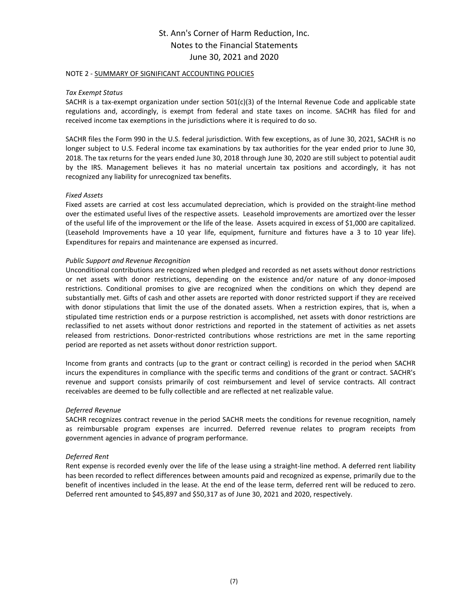#### NOTE 2 - SUMMARY OF SIGNIFICANT ACCOUNTING POLICIES

## *Tax Exempt Status*

SACHR is a tax-exempt organization under section 501(c)(3) of the Internal Revenue Code and applicable state regulations and, accordingly, is exempt from federal and state taxes on income. SACHR has filed for and received income tax exemptions in the jurisdictions where it is required to do so.

SACHR files the Form 990 in the U.S. federal jurisdiction. With few exceptions, as of June 30, 2021, SACHR is no longer subject to U.S. Federal income tax examinations by tax authorities for the year ended prior to June 30, 2018. The tax returns for the years ended June 30, 2018 through June 30, 2020 are still subject to potential audit by the IRS. Management believes it has no material uncertain tax positions and accordingly, it has not recognized any liability for unrecognized tax benefits.

## *Fixed Assets*

Fixed assets are carried at cost less accumulated depreciation, which is provided on the straight-line method over the estimated useful lives of the respective assets. Leasehold improvements are amortized over the lesser of the useful life of the improvement or the life of the lease. Assets acquired in excess of \$1,000 are capitalized. (Leasehold Improvements have a 10 year life, equipment, furniture and fixtures have a 3 to 10 year life). Expenditures for repairs and maintenance are expensed as incurred.

## *Public Support and Revenue Recognition*

Unconditional contributions are recognized when pledged and recorded as net assets without donor restrictions or net assets with donor restrictions, depending on the existence and/or nature of any donor-imposed restrictions. Conditional promises to give are recognized when the conditions on which they depend are substantially met. Gifts of cash and other assets are reported with donor restricted support if they are received with donor stipulations that limit the use of the donated assets. When a restriction expires, that is, when a stipulated time restriction ends or a purpose restriction is accomplished, net assets with donor restrictions are reclassified to net assets without donor restrictions and reported in the statement of activities as net assets released from restrictions. Donor-restricted contributions whose restrictions are met in the same reporting period are reported as net assets without donor restriction support.

Income from grants and contracts (up to the grant or contract ceiling) is recorded in the period when SACHR incurs the expenditures in compliance with the specific terms and conditions of the grant or contract. SACHR's revenue and support consists primarily of cost reimbursement and level of service contracts. All contract receivables are deemed to be fully collectible and are reflected at net realizable value.

#### *Deferred Revenue*

SACHR recognizes contract revenue in the period SACHR meets the conditions for revenue recognition, namely as reimbursable program expenses are incurred. Deferred revenue relates to program receipts from government agencies in advance of program performance.

#### *Deferred Rent*

Rent expense is recorded evenly over the life of the lease using a straight-line method. A deferred rent liability has been recorded to reflect differences between amounts paid and recognized as expense, primarily due to the benefit of incentives included in the lease. At the end of the lease term, deferred rent will be reduced to zero. Deferred rent amounted to \$45,897 and \$50,317 as of June 30, 2021 and 2020, respectively.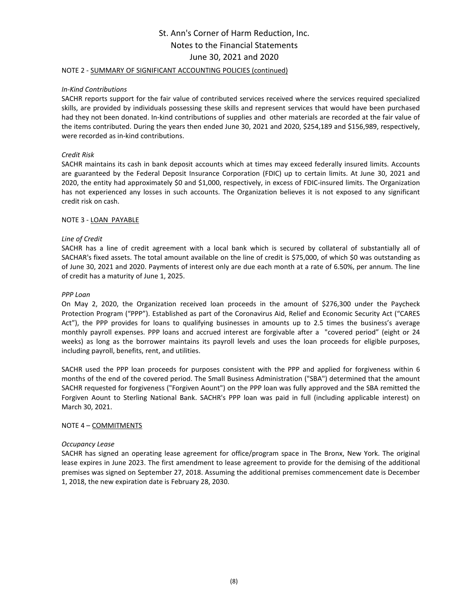## NOTE 2 - SUMMARY OF SIGNIFICANT ACCOUNTING POLICIES (continued)

#### *In-Kind Contributions*

SACHR reports support for the fair value of contributed services received where the services required specialized skills, are provided by individuals possessing these skills and represent services that would have been purchased had they not been donated. In-kind contributions of supplies and other materials are recorded at the fair value of the items contributed. During the years then ended June 30, 2021 and 2020, \$254,189 and \$156,989, respectively, were recorded as in-kind contributions.

#### *Credit Risk*

SACHR maintains its cash in bank deposit accounts which at times may exceed federally insured limits. Accounts are guaranteed by the Federal Deposit Insurance Corporation (FDIC) up to certain limits. At June 30, 2021 and 2020, the entity had approximately \$0 and \$1,000, respectively, in excess of FDIC-insured limits. The Organization has not experienced any losses in such accounts. The Organization believes it is not exposed to any significant credit risk on cash.

## NOTE 3 - LOAN PAYABLE

## *Line of Credit*

SACHR has a line of credit agreement with a local bank which is secured by collateral of substantially all of SACHAR's fixed assets. The total amount available on the line of credit is \$75,000, of which \$0 was outstanding as of June 30, 2021 and 2020. Payments of interest only are due each month at a rate of 6.50%, per annum. The line of credit has a maturity of June 1, 2025.

#### *PPP Loan*

On May 2, 2020, the Organization received loan proceeds in the amount of \$276,300 under the Paycheck Protection Program ("PPP"). Established as part of the Coronavirus Aid, Relief and Economic Security Act ("CARES Act"), the PPP provides for loans to qualifying businesses in amounts up to 2.5 times the business's average monthly payroll expenses. PPP loans and accrued interest are forgivable after a "covered period" (eight or 24 weeks) as long as the borrower maintains its payroll levels and uses the loan proceeds for eligible purposes, including payroll, benefits, rent, and utilities.

SACHR used the PPP loan proceeds for purposes consistent with the PPP and applied for forgiveness within 6 months of the end of the covered period. The Small Business Administration ("SBA") determined that the amount SACHR requested for forgiveness ("Forgiven Aount") on the PPP loan was fully approved and the SBA remitted the Forgiven Aount to Sterling National Bank. SACHR's PPP loan was paid in full (including applicable interest) on March 30, 2021.

#### NOTE 4 – COMMITMENTS

#### *Occupancy Lease*

SACHR has signed an operating lease agreement for office/program space in The Bronx, New York. The original lease expires in June 2023. The first amendment to lease agreement to provide for the demising of the additional premises was signed on September 27, 2018. Assuming the additional premises commencement date is December 1, 2018, the new expiration date is February 28, 2030.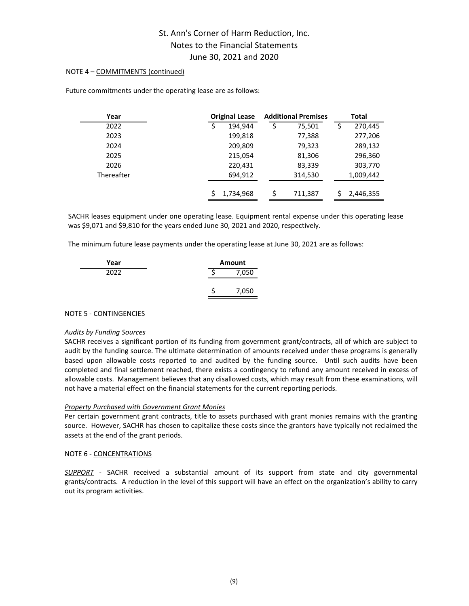## NOTE 4 – COMMITMENTS (continued)

| Year       | <b>Original Lease</b> | <b>Additional Premises</b> | Total     |
|------------|-----------------------|----------------------------|-----------|
| 2022       | 194.944               | 75,501<br>\$               | 270,445   |
| 2023       | 199,818               | 77,388                     | 277,206   |
| 2024       | 209,809               | 79,323                     | 289,132   |
| 2025       | 215,054               | 81,306                     | 296,360   |
| 2026       | 220,431               | 83,339                     | 303,770   |
| Thereafter | 694,912               | 314,530                    | 1,009,442 |
|            | 1,734,968             | Ś<br>711.387               | 2,446,355 |

Future commitments under the operating lease are as follows:

SACHR leases equipment under one operating lease. Equipment rental expense under this operating lease was \$9,071 and \$9,810 for the years ended June 30, 2021 and 2020, respectively.

The minimum future lease payments under the operating lease at June 30, 2021 are as follows:

| Year | <b>Amount</b> |       |  |
|------|---------------|-------|--|
| 2022 |               | 7,050 |  |
|      |               |       |  |
|      |               | 7,050 |  |

## NOTE 5 - CONTINGENCIES

#### *Audits by Funding Sources*

SACHR receives a significant portion of its funding from government grant/contracts, all of which are subject to audit by the funding source. The ultimate determination of amounts received under these programs is generally based upon allowable costs reported to and audited by the funding source. Until such audits have been completed and final settlement reached, there exists a contingency to refund any amount received in excess of allowable costs. Management believes that any disallowed costs, which may result from these examinations, will not have a material effect on the financial statements for the current reporting periods.

#### *Property Purchased with Government Grant Monies*

Per certain government grant contracts, title to assets purchased with grant monies remains with the granting source. However, SACHR has chosen to capitalize these costs since the grantors have typically not reclaimed the assets at the end of the grant periods.

#### NOTE 6 - CONCENTRATIONS

*SUPPORT* - SACHR received a substantial amount of its support from state and city governmental grants/contracts. A reduction in the level of this support will have an effect on the organization's ability to carry out its program activities.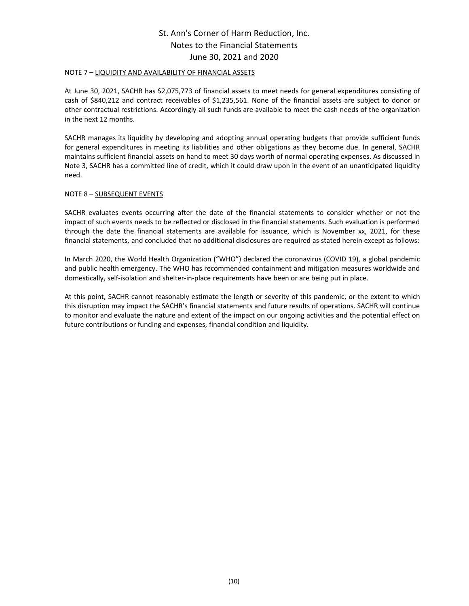#### NOTE 7 – LIQUIDITY AND AVAILABILITY OF FINANCIAL ASSETS

At June 30, 2021, SACHR has \$2,075,773 of financial assets to meet needs for general expenditures consisting of cash of \$840,212 and contract receivables of \$1,235,561. None of the financial assets are subject to donor or other contractual restrictions. Accordingly all such funds are available to meet the cash needs of the organization in the next 12 months.

SACHR manages its liquidity by developing and adopting annual operating budgets that provide sufficient funds for general expenditures in meeting its liabilities and other obligations as they become due. In general, SACHR maintains sufficient financial assets on hand to meet 30 days worth of normal operating expenses. As discussed in Note 3, SACHR has a committed line of credit, which it could draw upon in the event of an unanticipated liquidity need.

## NOTE 8 – SUBSEQUENT EVENTS

SACHR evaluates events occurring after the date of the financial statements to consider whether or not the impact of such events needs to be reflected or disclosed in the financial statements. Such evaluation is performed through the date the financial statements are available for issuance, which is November xx, 2021, for these financial statements, and concluded that no additional disclosures are required as stated herein except as follows:

In March 2020, the World Health Organization ("WHO") declared the coronavirus (COVID 19), a global pandemic and public health emergency. The WHO has recommended containment and mitigation measures worldwide and domestically, self-isolation and shelter-in-place requirements have been or are being put in place.

At this point, SACHR cannot reasonably estimate the length or severity of this pandemic, or the extent to which this disruption may impact the SACHR's financial statements and future results of operations. SACHR will continue to monitor and evaluate the nature and extent of the impact on our ongoing activities and the potential effect on future contributions or funding and expenses, financial condition and liquidity.